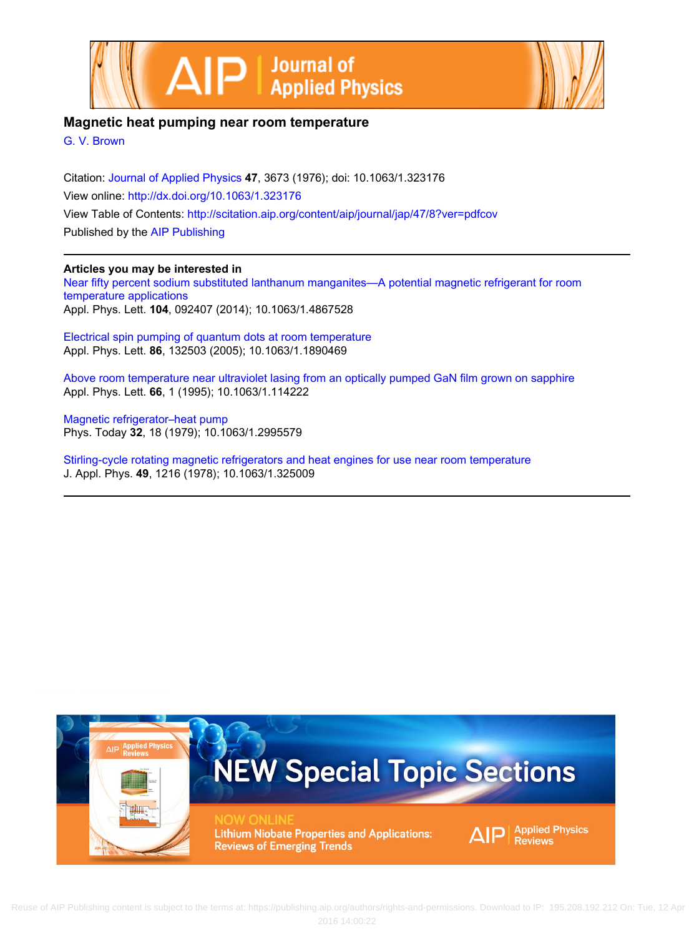



## **Magnetic heat pumping near room temperature**

[G. V. Brown](http://scitation.aip.org/search?value1=G.+V.+Brown&option1=author)

Citation: [Journal of Applied Physics](http://scitation.aip.org/content/aip/journal/jap?ver=pdfcov) **47**, 3673 (1976); doi: 10.1063/1.323176 View online:<http://dx.doi.org/10.1063/1.323176> View Table of Contents: <http://scitation.aip.org/content/aip/journal/jap/47/8?ver=pdfcov> Published by the [AIP Publishing](http://scitation.aip.org/content/aip?ver=pdfcov)

## **Articles you may be interested in**

[Near fifty percent sodium substituted lanthanum manganites—A potential magnetic refrigerant for room](http://scitation.aip.org/content/aip/journal/apl/104/9/10.1063/1.4867528?ver=pdfcov) [temperature applications](http://scitation.aip.org/content/aip/journal/apl/104/9/10.1063/1.4867528?ver=pdfcov) Appl. Phys. Lett. **104**, 092407 (2014); 10.1063/1.4867528

[Electrical spin pumping of quantum dots at room temperature](http://scitation.aip.org/content/aip/journal/apl/86/13/10.1063/1.1890469?ver=pdfcov) Appl. Phys. Lett. **86**, 132503 (2005); 10.1063/1.1890469

[Above room temperature near ultraviolet lasing from an optically pumped GaN film grown on sapphire](http://scitation.aip.org/content/aip/journal/apl/66/1/10.1063/1.114222?ver=pdfcov) Appl. Phys. Lett. **66**, 1 (1995); 10.1063/1.114222

[Magnetic refrigerator–heat pump](http://scitation.aip.org/content/aip/magazine/physicstoday/article/32/6/10.1063/1.2995579?ver=pdfcov) Phys. Today **32**, 18 (1979); 10.1063/1.2995579

Stirling-cycle rotating magnetic refrigerators and heat engines for use near room temperature J. Appl. Phys. **49**, 1216 (1978); 10.1063/1.325009



 Reuse of AIP Publishing content is subject to the terms at: https://publishing.aip.org/authors/rights-and-permissions. Download to IP: 195.208.192.212 On: Tue, 12 Apr 2016 14:00:22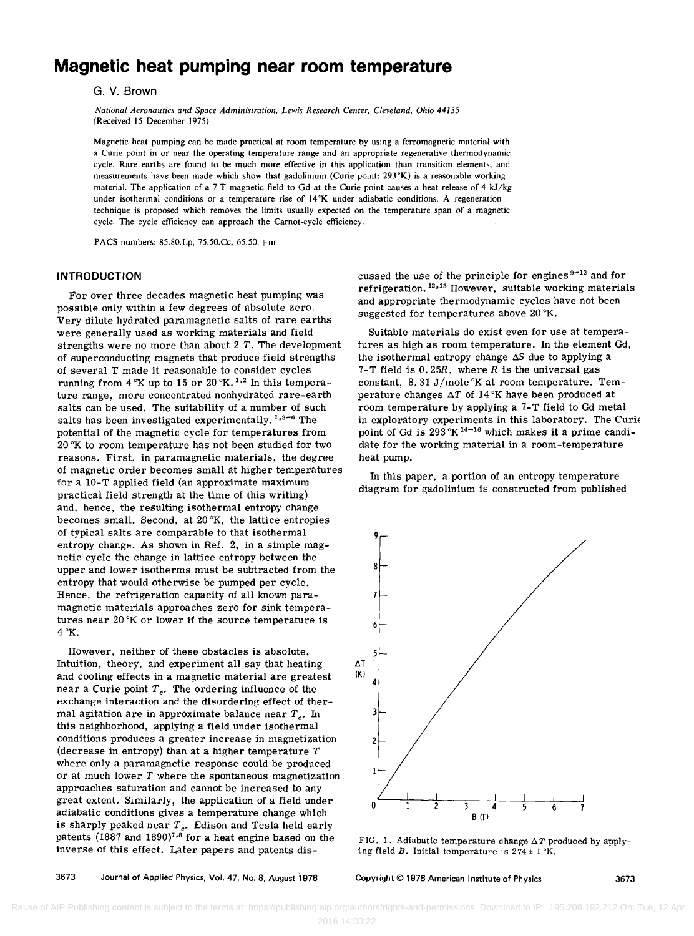# **Magnetic heat pumping near room temperature**

G. V. Brown

*National Aeronautics and Space Administration, Lewis Research Center, Cleveland, Ohio 44135*  (Received 15 December 1975)

Magnetic heat pumping can be made practical at room temperature by using a ferromagnetic material with a Curie point in or near the operating temperature range and an appropriate regenerative thermodynamic cycle. Rare earths are found to be much more effective in this application than transition elements, and measurements have been made which show that gadolinium (Curie point:  $293\text{ K}$ ) is a reasonable working material. The application of a 7-T magnetic field to Gd at the Curie point causes a heat release of 4 kJ/kg under isothermal conditions or a temperature rise of 14°K under adiabatic conditions. A regeneration technique is proposed which removes the limits usually expected on the temperature span of a magnetic cycle. The cycle efficiency can approach the Carnot-cycle efficiency.

PACS numbers: 85.80.Lp, 75.50.Cc, 65.50. +m

## **INTRODUCTION**

For over three decades magnetic heat pumping was possible only within a few degrees of absolute zero. Very dilute hydrated paramagnetic salts of rare earths were generally used as working materials and field strengths were no more than about 2 T. The development of superconducting magnets that produce field strengths of several T made it reasonable to consider cycles running from  $4^\circ$ K up to 15 or  $20^\circ$ K.  $^{1,2}$  In this temperature range, more concentrated nonhydrated rare-earth salts can be used. The suitability of a number of such salts has been investigated experimentally.<sup>1,3-6</sup> The potential of the magnetic cycle for temperatures from 20 K to room temperature has not been studied for two reasons. First, in paramagnetic materials, the degree of magnetic order becomes small at higher temperatures for a lO-T applied field (an approximate maximum practical field strength at the time of this writing) and, hence, the resulting isothermal entropy change becomes small. Second, at  $20\,^{\circ}\text{K}$ , the lattice entropies of typical salts are comparable to that isothermal entropy change. As shown in Ref. 2, in a simple magnetic cycle the change in lattice entropy between the upper and lower isotherms must be subtracted from the entropy that would otherwise be pumped per cycle. Hence, the refrigeration capacity of all known paramagnetic materials approaches zero for sink temperatures near  $20^{\circ}K$  or lower if the source temperature is 4°K.

However, neither of these obstacles is absolute. Intuition, theory, and experiment all say that heating and COOling effects in a magnetic material are greatest near a Curie point  $T_c$ . The ordering influence of the exchange interaction and the disordering effect of thermal agitation are in approximate balance near  $T_c$ . In this neighborhood, applying a field under isothermal conditions produces a greater increase in magnetization (decrease in entropy) than at a higher temperature *T*  where only a paramagnetic response could be produced or at much lower *T* where the spontaneous magnetization approaches saturation and cannot be increased to any great extent. Similarly, the application of a field under adiabatic conditions gives a temperature change which is sharply peaked near  $T_c$ . Edison and Tesla held early patents (1887 and 1890)<sup>7,8</sup> for a heat engine based on the inverse of this effect. Later papers and patents dis-

cussed the use of the principle for engines  $9-12$  and for refrigeration. 12,13 However, suitable working materials and appropriate thermodynamic cycles have not been suggested for temperatures above  $20^{\circ}$ K.

Suitable materials do exist even for use at temperatures as high as room temperature. In the element Gd, the isothermal entropy change  $\Delta S$  due to applying a 7-T field is O. *25R,* where *R* is the universal gas constant, 8.31 J/mole  $K$  at room temperature. Temperature changes  $\Delta T$  of 14°K have been produced at room temperature by applying a 7-T field to Gd metal in exploratory experiments in this laboratory. The Curif point of Gd is  $293^{\circ}K^{14-16}$  which makes it a prime candidate for the working material in a room-temperature heat pump.

In this paper, a portion of an entropy temperature diagram for gadolinium is constructed from published



FIG. 1. Adiabatic temperature change  $\Delta T$  produced by applying field  $B$ . Initial temperature is  $274 \pm 1$  °K.

Copyright © 1976 American Institute of Physics 3673

Reuse of AIP Publishing content is subject to the terms at: https://publishing.aip.org/authors/rights-and-permissions. Download to IP: 195.208.192.212 On: Tue, 12 Apr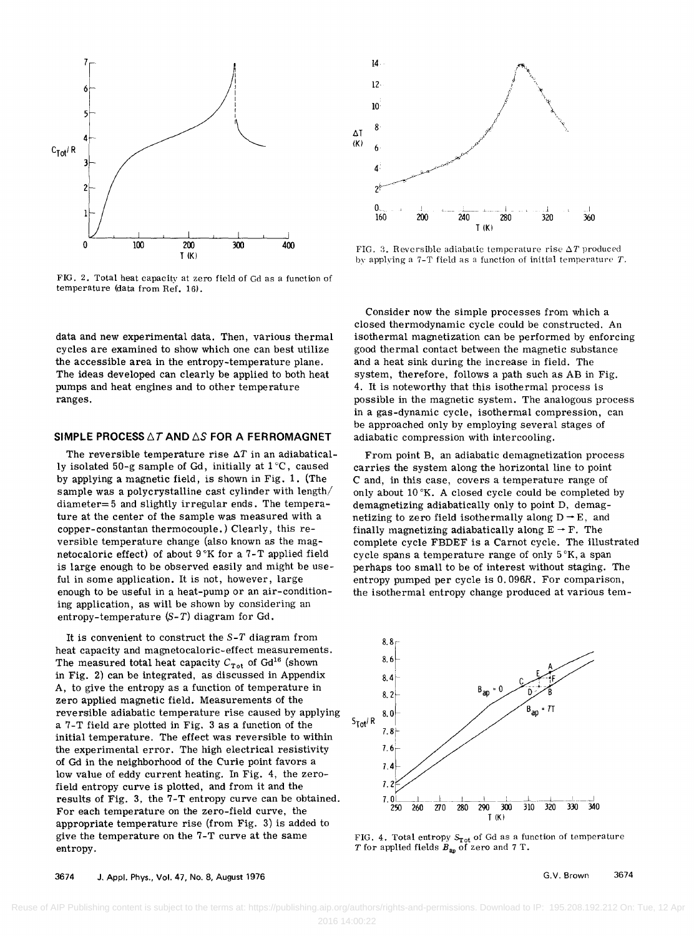

FIG. 2. Total heat capacity at zero field of Gd as a function of temperature (data from Ref. 16).

data and new experimental data. Then, various thermal cycles are examined to show which one can best utilize the accessible area in the entropy-temperature plane. The ideas developed can clearly be applied to both heat pumps and heat engines and to other temperature ranges.

#### **SIMPLE PROCESS** 6 T **AND 6S FOR A FERROMAGNET**

The reversible temperature rise  $\Delta T$  in an adiabatically isolated 50-g sample of Gd, initially at 1 °C, caused by applying a magnetic field, is shown in Fig. 1. (The sample was a polycrystalline cast cylinder with length/ diameter= 5 and slightly irregular ends. The temperature at the center of the sample was measured with a copper-constantan thermocouple.) Clearly, this reversible temperature change (also known as the magnetocaloric effect) of about  $9^{\circ}K$  for a 7-T applied field is large enough to be observed easily and might be useful in some application. It is not, however, large enough to be useful in a heat-pump or an air-conditioning application, as will be shown by considering an entropy-temperature  $(S-T)$  diagram for Gd.

It is convenient to construct the  $S-T$  diagram from heat capacity and magnetocaloric-effect measurements. The measured total heat capacity  $C_{\text{Tot}}$  of Gd<sup>16</sup> (shown in Fig. 2) can be integrated, as discussed in Appendix A, to give the entropy as a function of temperature in zero applied magnetic field. Measurements of the reversible adiabatic temperature rise caused by applying a 7-T field are plotted in Fig. 3 as a function of the initial temperature. The effect was reversible to within the experimental error. The high electrical resistivity of Gd in the neighborhood of the Curie point favors a low value of eddy current heating. In Fig. 4, the zerofield entropy curve is plotted, and from it and the results of Fig. 3, the 7-T entropy curve can be obtained. For each temperature on the zero-field curve, the appropriate temperature rise (from Fig. 3) is added to give the temperature on the 7-T curve at the same entropy.



FIG. 3. Reversible adiabatic temperature rise  $\Delta T$  produced by applying a 7-T field as a function of initial temperature  $T$ .

Consider now the simple processes from which a closed thermodynamic cycle could be constructed. An isothermal magnetization can be performed by enforcing good thermal contact between the magnetic substance and a heat sink during the increase in field. The system, therefore, follows a path such as AB in Fig. 4. It is noteworthy that this isothermal process is possible in the magnetic system. The analogous process in a gas-dynamic cycle, isothermal compression, can be approached only by employing several stages of adiabatic compression with intercooling.

From point B, an adiabatic demagnetization process carries the system along the horizontal line to point C and, in this case, covers a temperature range of only about  $10^{\circ}$ K. A closed cycle could be completed by demagnetizing adiabatically only to point D, demagnetizing to zero field isothermally along  $D \rightarrow E$ , and finally magnetizing adiabatically along  $E \rightarrow F$ . The complete cycle FBDEF is a Carnot cycle. The illustrated cycle spans a temperature range of only  $5\,^{\circ}\text{K}$ , a span perhaps too small to be of interest without staging. The entropy pumped per cycle is O. 096R. For comparison, the isothermal entropy change produced at various tem-



FIG. 4. Total entropy  $S_{\text{Tot}}$  of Gd as a function of temperature *T* for applied fields  $B_{\text{an}}$  of zero and 7 T.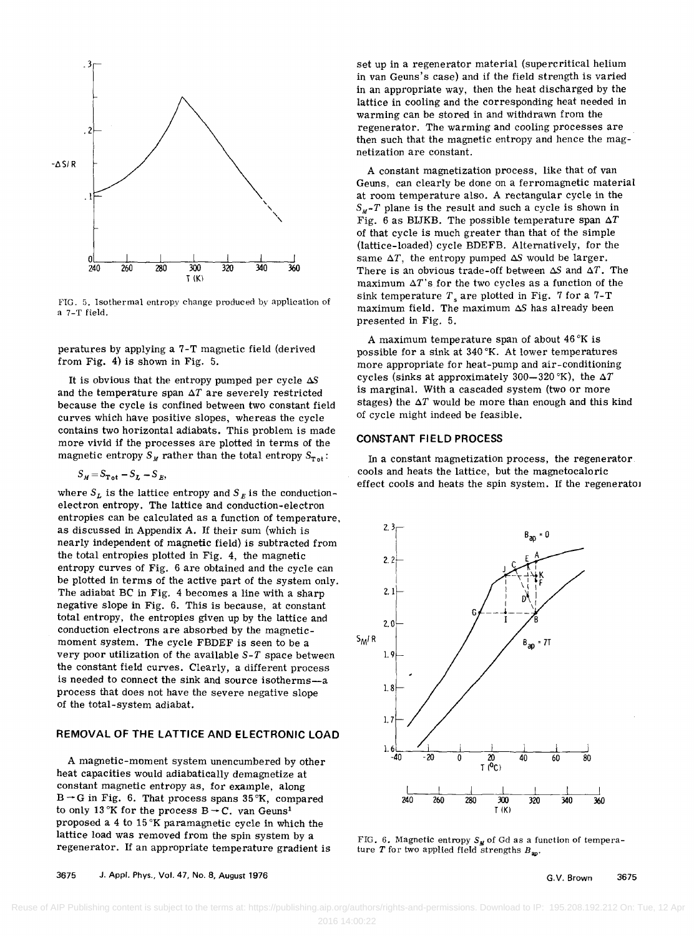

FIG. 5. Isothermal entropy change produced by application of a 7-T field.

peratures by applying a 7-T magnetic field (derived from Fig. 4) is shown in Fig. 5.

It is obvious that the entropy pumped per cycle  $\Delta S$ and the temperature span  $\Delta T$  are severely restricted because the cycle is confined between two constant field curves which have positive slopes, whereas the cycle contains two horizontal adiabats. This problem is made more vivid if the processes are plotted in terms of the magnetic entropy  $S_M$  rather than the total entropy  $S_{\text{Tot}}$ :

$$
S_M = S_{\text{Tot}} - S_L - S_E,
$$

where  $S_L$  is the lattice entropy and  $S_E$  is the conductionelectron entropy. The lattice and conduction-electron entropies can be calculated as a function of temperature, as discussed in Appendix A. If their sum (which is nearly independent of magnetic field) is subtracted from the total entropies plotted in Fig. 4, the magnetic entropy curves of Fig. 6 are obtained and the cycle can be plotted in terms of the active part of the system only. The adiabat BC in Fig. 4 becomes a line with a sharp negative slope in Fig. 6. This is because, at constant total entropy, the entropies given up by the lattice and conduction electrons are absorbed by the magneticmoment system. The cycle FBDEF is seen to be a very poor utilization of the available S-T space between the constant field curves. Clearly, a different process is needed to connect the sink and source isotherms-a process that does not have the severe negative slope of the total-system adiabat.

## **REMOVAL OF THE LATTICE AND ELECTRONIC LOAD**

A magnetic-moment system unencumbered by other heat capacities would adiabatically demagnetize at constant magnetic entropy as, for example, along  $B \rightarrow G$  in Fig. 6. That process spans 35°K, compared to only 13 °K for the process  $B \rightarrow C$ . van Geuns<sup>1</sup> proposed a 4 to  $15\,^{\circ}\text{K}$  paramagnetic cycle in which the lattice load was removed from the spin system by a regenerator. If an appropriate temperature gradient is set up in a regenerator material (supercritical helium in van Geuns's case) and if the field strength is varied in an appropriate way, then the heat discharged by the lattice in cooling and the corresponding heat needed in warming can be stored in and withdrawn from the regenerator. The warming and cooling processes are then such that the magnetic entropy and hence the magnetization are constant.

A constant magnetization process, like that of van Geuns, can clearly be done on a ferromagnetic material at room temperature also. A rectangular cycle in the  $S_M$ -T plane is the result and such a cycle is shown in Fig. 6 as BIJKB. The possible temperature span  $\Delta T$ of that cycle is much greater than that of the simple (lattice-loaded) cycle BDEFB. Alternatively, for the same  $\Delta T$ , the entropy pumped  $\Delta S$  would be larger. There is an obvious trade-off between  $\Delta S$  and  $\Delta T$ . The maximum  $\Delta T$ 's for the two cycles as a function of the sink temperature  $T_s$  are plotted in Fig. 7 for a 7-T maximum field. The maximum  $\Delta S$  has already been presented in Fig. 5.

A maximum temperature span of about  $46^{\circ}$ K is possible for a sink at  $340\text{°K}$ . At lower temperatures more appropriate for heat-pump and air-conditioning cycles (sinks at approximately 300-320 °K), the  $\Delta T$ is marginal. With a cascaded system (two or more stages) the  $\Delta T$  would be more than enough and this kind of cycle might indeed be feasible.

## **CONSTANT FIELD PROCESS**

In a constant magnetization process, the regenerator cools and heats the lattice, but the magnetocaloric effect cools and heats the spin system. If the regenerator



FIG. 6. Magnetic entropy  $S_M$  of Gd as a function of temperature  $T$  for two applied field strengths  $B_{\text{av}}$ .

G.V. Brown 3675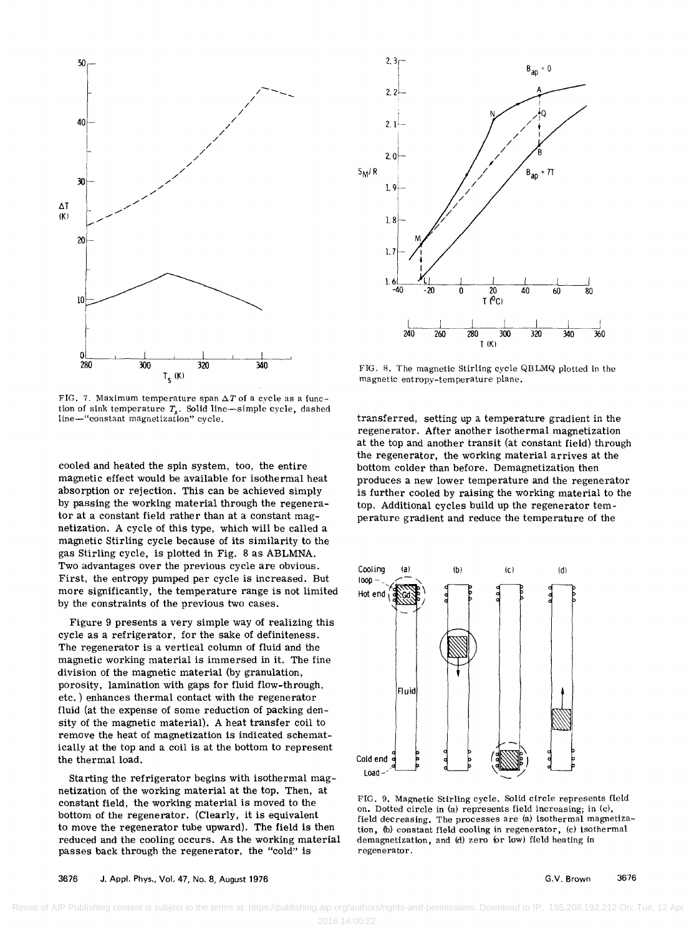

FIG. 7. Maximum temperature span  $\Delta T$  of a cycle as a function of sink temperature  $T_s$ . Solid line-simple cycle, dashed line-"constant magnetization" cycle.

cooled and heated the spin system, too, the entire magnetic effect would be available for isothermal heat absorption or rejection. This can be achieved simply by passing the working material through the regenerator at a constant field rather than at a constant magnetization. A cycle of this type, which will be called a magnetic Stirling cycle because of its similarity to the gas Stirling cycle, is plotted in Fig. 8 as ABLMNA. Two advantages over the previous cycle are obvious. First, the entropy pumped per cycle is increased. But more significantly, the temperature range is not limited by the constraints of the previous two cases.

Figure 9 presents a very simple way of realizing this cycle as a refrigerator, for the sake of definiteness. The regenerator is a vertical column of fluid and the magnetic working material is immersed in it. The fine division of the magnetic material (by granulation, porosity, lamination with gaps for fluid flow-through, etc. ) enhances thermal contact with the regenerator fluid (at the expense of some reduction of packing density of the magnetic material). A heat transfer coil to remove the heat of magnetization is indicated schematically at the top and a coil is at the bottom to represent the thermal load.

Starting the refrigerator begins with isothermal magnetization of the working material at the top. Then, at constant field, the working material is moved to the bottom of the regenerator. (Clearly, it is equivalent to move the regenerator tube upward). The field is then reduced and the cooling occurs. As the working material passes back through the regenerator, the "cold" is



FIG. R. The magnetic Stirling cycle QBLMQ plotted in the magnetic entropy-temperature plane.

transferred, setting up a temperature gradient in the regenerator. After another isothermal magnetization at the top and another transit (at constant field) through the regenerator, the working material arrives at the bottom colder than before. Demagnetization then produces a new lower temperature and the regenerator is further cooled by raising the working material to the top. Additional cycles build up the regenerator temperature gradient and reduce the temperature of the



FIG. 9. Magnetic Stirling cycle. Solid circle represents field on. Dotted circle in (a) represents field increasing; in (c), field decreasing. The processes are (a) isothermal magnetization, (b) constant field cooling in regenerator, (c) isothermal demagnetization, and (d) zero (or low) field heating in regenera tor.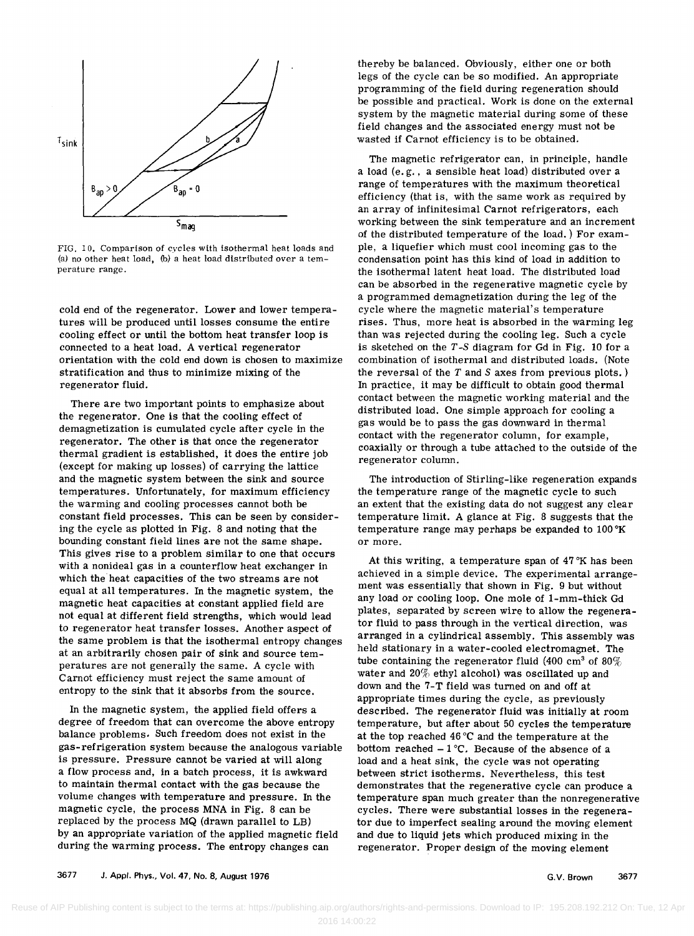

FIG. 10. Comparison of cycles with isothermal heat loads and (a) no other heat load, (b) a heat load distributed over a temperature range.

cold end of the regenerator. Lower and lower temperatures will be produced until losses consume the entire cooling effect or until the bottom heat transfer loop is connected to a heat load. A vertical regenerator orientation with the cold end down is chosen to maximize stratification and thus to minimize mixing of the regenerator fluid.

There are two important points to emphasize about the regenerator. One is that the cooling effect of demagnetization is cumulated cycle after cycle in the regenerator. The other is that once the regenerator thermal gradient is established, it does the entire job (except for making up losses) of carrying the lattice and the magnetic system between the sink and source temperatures. Unfortunately, for maximum efficiency the warming and cooling processes cannot both be constant field processes. This can be seen by considering the cycle as plotted in Fig. 8 and noting that the bounding constant field lines are not the same shape. This gives rise to a problem similar to one that occurs with a nonideal gas in a counterflow heat exchanger in which the heat capacities of the two streams are not equal at all temperatures. In the magnetic system, the magnetic heat capacities at constant applied field are not equal at different field strengths, which would lead to regenerator heat transfer losses. Another aspect of the same problem is that the isothermal entropy changes at an arbitrarily chosen pair of sink and source temperatures are not generally the same. A cycle with Carnot efficiency must reject the same amount of entropy to the sink that it absorbs from the source.

In the magnetic system, the applied field offers a degree of freedom that can overcome the above entropy balance problems. Such freedom does not exist in the gas-refrigeration system because the analogous variable is pressure. Pressure cannot be varied at will along a flow process and, in a batch process, it is awkward to maintain thermal contact with the gas because the volume changes with temperature and pressure. In the magnetic cycle, the process MNA in Fig. 8 can be replaced by the process MQ (drawn parallel to LB) by an appropriate variation of the applied magnetic field during the warming process. The entropy changes can

thereby be balanced. Obviously, either one or both legs of the cycle can be so modified. An appropriate programming of the field during regeneration should be possible and practical. Work is done on the external system by the magnetic material during some of these field changes and the associated energy must not be wasted if Carnot efficiency is to be obtained.

The magnetic refrigerator can, in principle, handle a load (e. g., a sensible heat load) distributed over a range of temperatures with the maximum theoretical efficiency (that is, with the same work as required by an array of infinitesimal Carnot refrigerators, each working between the sink temperature and an increment of the distributed temperature of the load. ) For example, a liquefier which must cool incoming gas to the condensation point has this kind of load in addition to the isothermal latent heat load. The distributed load can be absorbed in the regenerative magnetic cycle by a programmed demagnetization during the leg of the cycle where the magnetic material's temperature rises. Thus, more heat is absorbed in the warming leg than was rejected during the cooling leg. Such a cycle is sketched on the *T-S* diagram for Gd in Fig. 10 for a combination of isothermal and distributed loads. (Note the reversal of the *T* and S axes from previous plots. ) In practice, it may be difficult to obtain good thermal contact between the magnetic working material and the distributed load. One simple approach for cooling a gas would be to pass the gas downward in thermal contact with the regenerator column, for example, coaxially or through a tube attached to the outside of the regenerator column.

The introduction of Stirling-like regeneration expands the temperature range of the magnetic cycle to such an extent that the existing data do not suggest any clear temperature limit. A glance at Fig. 8 suggests that the temperature range may perhaps be expanded to  $100 \, \mathrm{°K}$ or more.

At this writing, a temperature span of  $47^{\circ}K$  has been achieved in a simple device. The experimental arrangement was essentially that shown in Fig. 9 but without any load or COOling loop. One mole of 1-mm-thick Gd plates, separated by screen wire to allow the regenerator fluid to pass through in the vertical direction, was arranged in a cylindrical assembly. This assembly was held stationary in a water-cooled electromagnet. The tube containing the regenerator fluid (400 cm<sup>3</sup> of 80%) water and 20% ethyl alcohol) was oscillated up and down and the 7-T field was turned on and off at appropriate times during the cycle, as previously described. The regenerator fluid was initially at room temperature, but after about 50 cycles the temperature at the top reached 46°C and the temperature at the bottom reached  $-1$  °C. Because of the absence of a load and a heat sink, the cycle was not operating between strict isotherms. Nevertheless, this test demonstrates that the regenerative cycle can produce a temperature span much greater than the non regenerative cycles. There were substantial losses in the regenerator due to imperfect sealing around the moving element and due to liquid jets which produced mixing in the regenerator. Proper design of the moving element

Reuse of AIP Publishing content is subject to the terms at: https://publishing.aip.org/authors/rights-and-permissions. Download to IP: 195.208.192.212 On: Tue, 12 Apr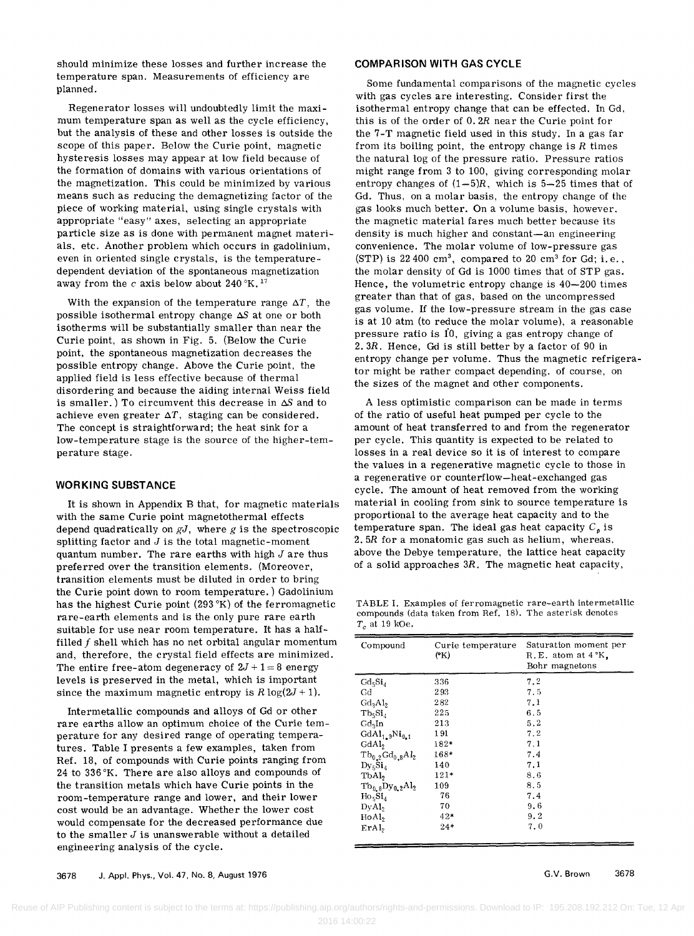should minimize these losses and further increase the temperature span. Measurements of efficiency are planned.

Regenerator losses will undoubtedly limit the maximum temperature span as well as the cycle efficiency, but the analysis of these and other losses is outside the scope of this paper. Below the Curie point. magnetic hysteresis losses may appear at low field because of the formation of domains with various orientations of the magnetization. This could be minimized by various means such as reducing the demagnetizing factor of the piece of working material, using single crystals with appropriate "easy" axes, selecting an appropriate particle size as is done with permanent magnet materials. etc. Another problem which occurs in gadolinium, even in oriented single crystals, is the temperaturedependent deviation of the spontaneous magnetization away from the c axis below about 240  $\rm ^oK$ ,  $\rm ^17$ 

With the expansion of the temperature range  $\Delta T$ , the possible isothermal entropy change  $\Delta S$  at one or both isotherms will be substantially smaller than near the Curie point, as shown in Fig. 5. (Below the Curie point, the spontaneous magnetization decreases the possible entropy change. Above the Curie point, the applied field is less effective because of thermal disordering and because the aiding internal Weiss field is smaller.) To circumvent this decrease in  $\Delta S$  and to achieve even greater  $\Delta T$ , staging can be considered. The concept is straightforward; the heat sink for a low-temperature stage is the source of the higher-temperature stage.

## **WORKING SUBSTANCE**

It is shown in Appendix B that, for magnetic materials with the same Curie point magnetothermal effects depend quadratically on  $gJ$ , where  $g$  is the spectroscopic splitting factor and  $J$  is the total magnetic-moment quantum number. The rare earths with high  $J$  are thus preferred over the transition elements. (Moreover, transition elements must be diluted in order to bring the Curie point down to room temperature. ) Gadolinium has the highest Curie point (293 $\mathrm{K}$ ) of the ferromagnetic rare-earth elements and is the only pure rare earth suitable for use near room temperature. It has a halffilled  $f$  shell which has no net orbital angular momentum and, therefore, the crystal field effects are minimized. The entire free-atom degeneracy of  $2J + 1 = 8$  energy levels is preserved in the metal, which is important since the maximum magnetic entropy is  $R \log(2J + 1)$ .

Intermetallic compounds and alloys of Gd or other rare earths allow an optimum choice of the Curie temperature for any desired range of operating temperatures. Table I presents a few examples, taken from Ref. 18, of compounds with Curie points ranging from 24 to 336 $\,^{\circ}\text{K}$ . There are also alloys and compounds of the transition metals which have Curie points in the room-temperature range and lower, and their lower cost would be an advantage. Whether the lower cost would compensate for the decreased performance due to the smaller  $J$  is unanswerable without a detailed engineering analysis of the cycle.

#### 3678 J. Appl. Phys., Vol. 47, No.8, August 1976

**COMPARISON WITH GAS CYCLE** 

Some fundamental comparisons of the magnetic cycles with gas cycles are interesting. Consider first the isothermal entropy change that can be effected. In Gd, this is of the order of O. 2R near the Curie point for the 7-T magnetic field used in this study. In a gas far from its boiling point, the entropy change is *R* times the natural log of the pressure ratio. Pressure ratios might range from 3 to 100, giving corresponding molar entropy changes of  $(1-5)R$ , which is  $5-25$  times that of Gd. Thus, on a molar basis, the entropy change of the gas looks much better. On a volume basis, however. the magnetic material fares much better because its density is much higher and constant-an engineering convenience. The molar volume of low-pressure gas  $(STP)$  is 22400 cm<sup>3</sup>, compared to 20 cm<sup>3</sup> for Gd; i.e., the molar density of Gd is 1000 times that of STP gas. Hence, the volumetric entropy change is  $40-200$  times greater than that of gas, based on the uncompressed gas volume. If the low-pressure stream in the gas case is at 10 atm (to reduce the molar volume), a reasonable pressure ratio is iO, giving a gas entropy change of *2.3R.* Hence, Gd is still better by a factor of 90 in entropy change per volume. Thus the magnetic refrigerator might be rather compact depending, of course, on the sizes of the magnet and other components.

A less optimistic comparison can be made in terms of the ratio of useful heat pumped per cycle to the amount of heat transferred to and from the regenerator per cycle. This quantity is expected to be related to losses in a real device so it is of interest to compare the values in a regenerative magnetic cycle to those in a regenerative or counterflow-heat-exchanged gas cycle. The amount of heat removed from the working material in cooling from sink to source temperature is proportional to the average heat capacity and to the temperature span. The ideal gas heat capacity  $C_p$  is *2.5R* for a monatomic gas such as helium, whereas, above the Debye temperature, the lattice heat capacity of a solid approaches *3R.* The magnetic heat capacity,

TABLE 1. Examples of ferromagnetic rare-earth intermetallic compounds (data taken from Ref. 18). The asterisk denotes *Tc* at 19 kOe.

| Compound                 | Curie temperature<br>$(\mathbf{K})$ | Saturation moment per<br>$R.E.$ atom at $4°K.$<br>Bohr magnetons |
|--------------------------|-------------------------------------|------------------------------------------------------------------|
| $Gd_5Si_4$               | 336                                 | 7.2                                                              |
| Gd                       | 293                                 | 7.5                                                              |
| $Gd_3Al_2$               | 282                                 | 7.1                                                              |
| $Tb_5Si_4$               | 225                                 | 6.5                                                              |
| $Gd_3In$                 | 213                                 | 5.2                                                              |
| $GdAl_{1.9}Ni_{0.1}$     | 191                                 | 7.2                                                              |
| GdAl <sub>2</sub>        | 182*                                | 7.1                                                              |
| $Tb_{0,2}Gd_{0,8}Al_2$   | $168*$                              | 7.4                                                              |
| $\text{Dy}_5\text{Si}_4$ | 140                                 | 7.1                                                              |
| TbAl <sub>2</sub>        | $121*$                              | 8.6                                                              |
| $Tb_{0.8}Dy_{0.2}Al_2$   | 109                                 | 8.5                                                              |
| $Ho_{5}Si_{4}$           | 76                                  | 7.4                                                              |
| DyAl <sub>2</sub>        | 70                                  | 9.6                                                              |
| HoAl <sub>2</sub>        | $42*$                               | 9.2                                                              |
| Eral <sub>2</sub>        | $24*$                               | 7.0                                                              |

G.V. Brown 3678

Reuse of AIP Publishing content is subject to the terms at: https://publishing.aip.org/authors/rights-and-permissions. Download to IP: 195.208.192.212 On: Tue, 12 Apr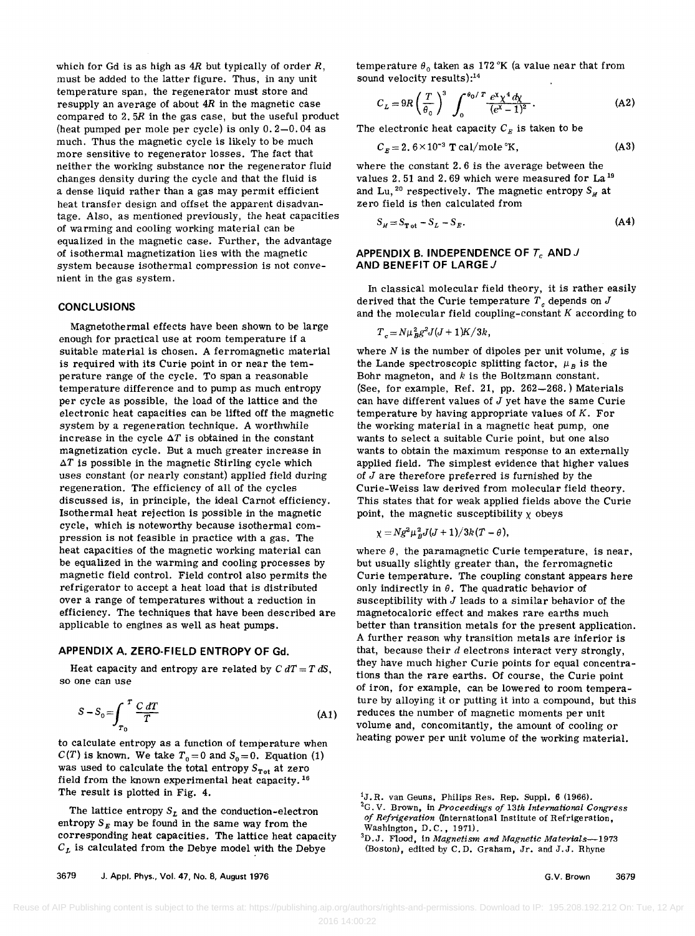which for Gd is as high as *4R* but typically of order *R,*  must be added to the latter figure. Thus, in any unit temperature span, the regenerator must store and resupply an average of about *4R* in the magnetic case compared to 2. *5R* in the gas case, but the useful product (heat pumped per mole per cycle) is only 0.2-0.04 as much. Thus the magnetic cycle is likely to be much more sensitive to regenerator losses. The fact that neither the working substance nor the regenerator fluid changes density during the cycle and that the fluid is a dense liquid rather than a gas may permit efficient heat transfer design and offset the apparent disadvantage. Also, as mentioned previously, the heat capacities of warming and cooling working material can be equalized in the magnetic case. Further, the advantage of isothermal magnetization lies with the magnetic system because isothermal compression is not convenient in the gas system.

## **CONCLUSIONS**

Magnetothermal effects have been shown to be large enough for practical use at room temperature if a suitable material is chosen. A ferromagnetic material is required with its Curie point in or near the temperature range of the cycle. To span a reasonable temperature difference and to pump as much entropy per cycle as possible, the load of the lattice and the electronic heat capacities can be lifted off the magnetic system by a regeneration technique. A worthwhile increase in the cycle  $\Delta T$  is obtained in the constant magnetization cycle. But a much greater increase in  $\Delta T$  is possible in the magnetic Stirling cycle which uses constant (or nearly constant) applied field during regeneration. The efficiency of all of the cycles discussed is, in principle, the ideal Carnot efficiency. Isothermal heat rejection is possible in the magnetic cycle, which is noteworthy because isothermal compression is not feaSible in practice with a gas. The heat capacities of the magnetic working material can be equalized in the warming and COOling processes by magnetic field control. Field control also permits the refrigerator to accept a heat load that is distributed over a range of temperatures without a reduction in efficiency. The techniques that have been described are applicable to engines as well as heat pumps.

#### **APPENDIX A. ZERO-FIELD ENTROPY OF** Gd.

Heat capacity and entropy are related by  $C dT = T dS$ , so one can use

$$
S - S_0 = \int_{T_0}^{T} \frac{C \, dT}{T} \tag{A1}
$$

to calculate entropy as a function of temperature when  $C(T)$  is known. We take  $T_0=0$  and  $S_0=0$ . Equation (1) was used to calculate the total entropy  $S_{\text{Tot}}$  at zero field from the known experimental heat capacity. 16 The result is plotted in Fig. 4.

The lattice entropy  $S_L$  and the conduction-electron entropy  $S_E$  may be found in the same way from the corresponding heat capacities. The lattice heat capacity  $C_L$  is calculated from the Debye model with the Debye

temperature  $\theta_0$  taken as 172 °K (a value near that from sound velocity results):<sup>14</sup>

$$
C_L = 9R\left(\frac{T}{\theta_0}\right)^3 \int_0^{\theta_0/T} \frac{e^x \chi^4 d\chi}{(e^x - 1)^2}.
$$
 (A2)

The electronic heat capacity  $C_E$  is taken to be

$$
C_E = 2.6 \times 10^{-3} \text{ T cal/mole }^{\circ} \text{K},\tag{A3}
$$

where the constant 2.6 is the average between the values 2. 51 and 2. 69 which were measured for La 19 and Lu,  $^{20}$  respectively. The magnetic entropy  $S_M$  at zero field is then calculated from

$$
S_M = S_{\text{Tot}} - S_L - S_E. \tag{A4}
$$

## APPENDIX B. INDEPENDENCE OF  $T_c$  AND J **AND BENEFIT OF LARGE J**

In classical molecular field theory, it is rather easily derived that the Curie temperature  $T_c$  depends on  $J$ and the molecular field coupling-constant  $K$  according to

$$
T_c = N\mu_B^2 g^2 J(J+1)K/3k,
$$

where N is the number of dipoles per unit volume, *g* is the Lande spectroscopic splitting factor,  $\mu_B$  is the Bohr magneton, and *k* is the Boltzmann constant. (See, for example, Ref. 21, pp. 262-268,) Materials can have different values of  $J$  yet have the same Curie temperature by having appropriate values of  $K$ . For the working material in a magnetic heat pump, one wants to select a suitable Curie point, but one also wants to obtain the maximum response to an externally applied field. The simplest evidence that higher values of J are therefore preferred is furnished by the Curie-Weiss law derived from molecular field theory. This states that for weak applied fields above the Curie point, the magnetic susceptibility  $\chi$  obeys

$$
\chi = N g^2 \mu_B^2 J(J+1)/3k(T-\theta),
$$

where  $\theta$ , the paramagnetic Curie temperature, is near, but usually slightly greater than, the ferromagnetic Curie temperature. The coupling constant appears here only indirectly in  $\theta$ . The quadratic behavior of susceptibility with  $J$  leads to a similar behavior of the magnetocaloric effect and makes rare earths much better than transition metals for the present application. A further reason why transition metals are inferior is that, because their *d* electrons interact very strongly, they have much higher Curie points for equal concentrations than the rare earths. Of course, the Curie point of iron, for example, can be lowered to room temperature by alloying it or putting it into a compound, but this reduces the number of magnetic moments per unit volume and, concomitantly, the amount of cooling or heating power per unit volume of the working material.

 $\rm ^1J.R.$  van Geuns, Philips Res. Rep. Suppl. 6 (1966).

<sup>&</sup>lt;sup>2</sup>G. V. Brown, in *Proceedings of 13th International Congress of Refrigeration* (International Institute of Refrigeration, Washington, D. C., 1971).

<sup>3</sup>D.J. Flood, in *Magnetism and MagnetiC Materials-1973*  (Boston), edited by C.D. Graham, Jr. and J.J. Rhyne